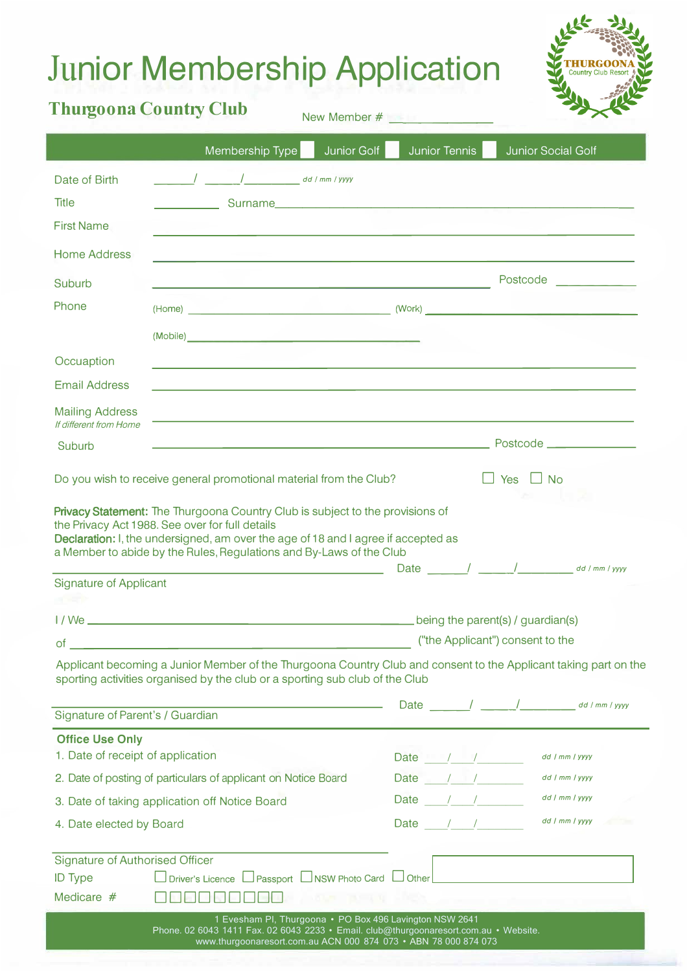## Ju**nior Membership Application**



New Member #

|                                                                        | Membership Type                                                                                                                                                                                                                                                                                                                                           | Junior Golf |                                  | Junior Tennis                     |                      | <b>Junior Social Golf</b>                                             |
|------------------------------------------------------------------------|-----------------------------------------------------------------------------------------------------------------------------------------------------------------------------------------------------------------------------------------------------------------------------------------------------------------------------------------------------------|-------------|----------------------------------|-----------------------------------|----------------------|-----------------------------------------------------------------------|
| Date of Birth<br><b>Title</b><br><b>First Name</b>                     |                                                                                                                                                                                                                                                                                                                                                           |             |                                  |                                   |                      |                                                                       |
| <b>Home Address</b>                                                    |                                                                                                                                                                                                                                                                                                                                                           |             |                                  |                                   |                      |                                                                       |
| Suburb                                                                 | <u> 1989 - Andrea San Andrew Maria (h. 1989).</u>                                                                                                                                                                                                                                                                                                         |             |                                  |                                   |                      | Postcode                                                              |
| Phone                                                                  |                                                                                                                                                                                                                                                                                                                                                           |             |                                  |                                   |                      |                                                                       |
|                                                                        |                                                                                                                                                                                                                                                                                                                                                           |             |                                  |                                   |                      |                                                                       |
| Occuaption                                                             | ,我们也不能在这里的时候,我们也不能在这里的时候,我们也不能会在这里的时候,我们也不能会在这里的时候,我们也不能会在这里的时候,我们也不能会在这里的时候,我们也                                                                                                                                                                                                                                                                          |             |                                  |                                   |                      |                                                                       |
| <b>Email Address</b>                                                   |                                                                                                                                                                                                                                                                                                                                                           |             |                                  |                                   |                      |                                                                       |
| <b>Mailing Address</b>                                                 | ,我们也不能在这里,我们也不能会在这里,我们也不能会在这里,我们也不能会在这里,我们也不能会在这里,我们也不能会在这里,我们也不能会不能会不能会。""我们,我们                                                                                                                                                                                                                                                                          |             |                                  |                                   |                      |                                                                       |
| If different from Home<br>Suburb                                       |                                                                                                                                                                                                                                                                                                                                                           |             |                                  |                                   |                      |                                                                       |
|                                                                        |                                                                                                                                                                                                                                                                                                                                                           |             |                                  |                                   |                      |                                                                       |
|                                                                        | Do you wish to receive general promotional material from the Club?                                                                                                                                                                                                                                                                                        |             |                                  |                                   | $\Box$ Yes $\Box$ No |                                                                       |
|                                                                        | Privacy Statement: The Thurgoona Country Club is subject to the provisions of<br>the Privacy Act 1988. See over for full details<br>Declaration: I, the undersigned, am over the age of 18 and I agree if accepted as<br>a Member to abide by the Rules, Regulations and By-Laws of the Club<br><u> 1989 - Johann Barn, mars eta bainar eta idazlea (</u> |             |                                  |                                   |                      | Date $\frac{1}{\sqrt{2\pi}}$ / $\frac{1}{\sqrt{2\pi}}$ dd / mm / yyyy |
| <b>Signature of Applicant</b>                                          |                                                                                                                                                                                                                                                                                                                                                           |             |                                  |                                   |                      |                                                                       |
|                                                                        |                                                                                                                                                                                                                                                                                                                                                           |             |                                  | being the parent(s) / guardian(s) |                      |                                                                       |
| of                                                                     |                                                                                                                                                                                                                                                                                                                                                           |             | ("the Applicant") consent to the |                                   |                      |                                                                       |
|                                                                        | Applicant becoming a Junior Member of the Thurgoona Country Club and consent to the Applicant taking part on the<br>sporting activities organised by the club or a sporting sub club of the Club                                                                                                                                                          |             |                                  |                                   |                      |                                                                       |
| Signature of Parent's / Guardian                                       |                                                                                                                                                                                                                                                                                                                                                           |             |                                  |                                   |                      |                                                                       |
| <b>Office Use Only</b>                                                 |                                                                                                                                                                                                                                                                                                                                                           |             |                                  |                                   |                      |                                                                       |
| 1. Date of receipt of application                                      |                                                                                                                                                                                                                                                                                                                                                           |             |                                  | Date / /                          |                      | dd / mm / yyyy                                                        |
|                                                                        | 2. Date of posting of particulars of applicant on Notice Board                                                                                                                                                                                                                                                                                            |             |                                  | Date / /                          |                      | dd / mm / yyyy                                                        |
|                                                                        | 3. Date of taking application off Notice Board                                                                                                                                                                                                                                                                                                            |             |                                  | Date / /                          |                      | dd / mm / yyyy                                                        |
| 4. Date elected by Board                                               |                                                                                                                                                                                                                                                                                                                                                           |             |                                  | Date / /                          |                      | dd / mm / yyyy                                                        |
| <b>Signature of Authorised Officer</b><br><b>ID Type</b><br>Medicare # | □ Driver's Licence □ Passport □ NSW Photo Card □ Other<br>1 Evesham PI, Thurgoona • PO Box 496 Lavington NSW 2641                                                                                                                                                                                                                                         |             |                                  |                                   |                      |                                                                       |
|                                                                        | Phone. 02 6043 1411 Fax. 02 6043 2233 · Email. club@thurgoonaresort.com.au · Website.<br>www.thurgoonaresort.com.au ACN 000 874 073 • ABN 78 000 874 073                                                                                                                                                                                                  |             |                                  |                                   |                      |                                                                       |